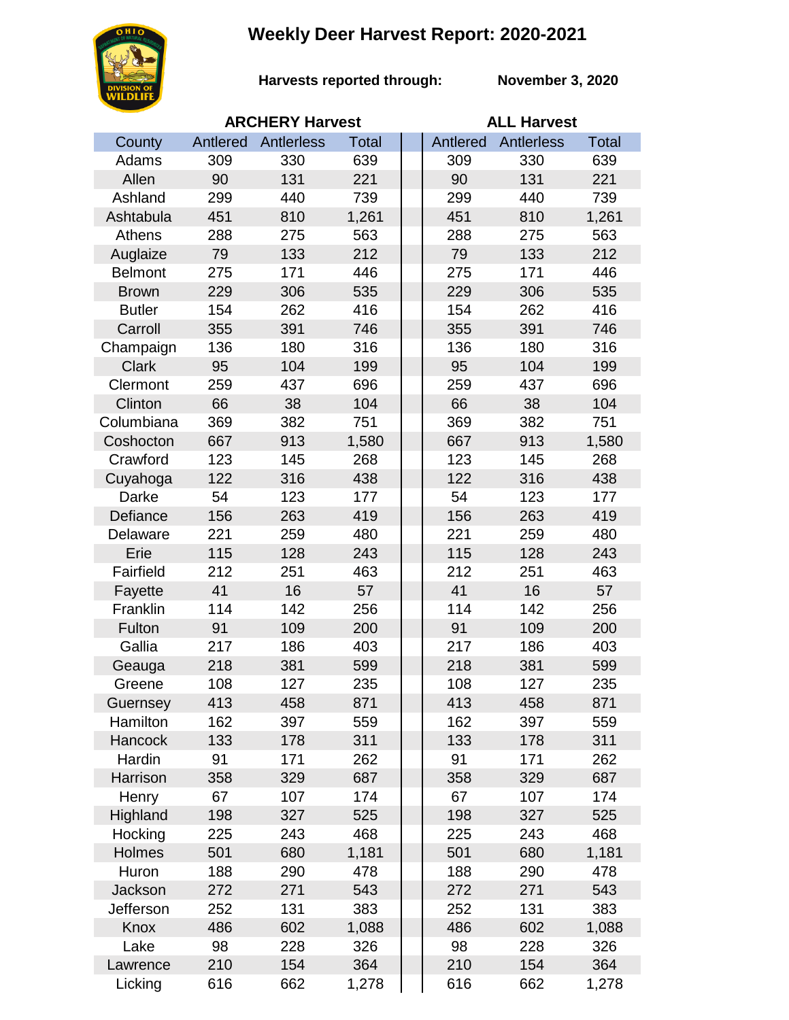## **Weekly Deer Harvest Report: 2020-2021**



**Harvests reported through:** 

**November 3, 2020**

|                | <b>ARCHERY Harvest</b> |            |              |  | <b>ALL Harvest</b> |            |              |  |  |
|----------------|------------------------|------------|--------------|--|--------------------|------------|--------------|--|--|
| County         | Antlered               | Antlerless | <b>Total</b> |  | Antlered           | Antlerless | <b>Total</b> |  |  |
| Adams          | 309                    | 330        | 639          |  | 309                | 330        | 639          |  |  |
| Allen          | 90                     | 131        | 221          |  | 90                 | 131        | 221          |  |  |
| Ashland        | 299                    | 440        | 739          |  | 299                | 440        | 739          |  |  |
| Ashtabula      | 451                    | 810        | 1,261        |  | 451                | 810        | 1,261        |  |  |
| Athens         | 288                    | 275        | 563          |  | 288                | 275        | 563          |  |  |
| Auglaize       | 79                     | 133        | 212          |  | 79                 | 133        | 212          |  |  |
| <b>Belmont</b> | 275                    | 171        | 446          |  | 275                | 171        | 446          |  |  |
| <b>Brown</b>   | 229                    | 306        | 535          |  | 229                | 306        | 535          |  |  |
| <b>Butler</b>  | 154                    | 262        | 416          |  | 154                | 262        | 416          |  |  |
| Carroll        | 355                    | 391        | 746          |  | 355                | 391        | 746          |  |  |
| Champaign      | 136                    | 180        | 316          |  | 136                | 180        | 316          |  |  |
| <b>Clark</b>   | 95                     | 104        | 199          |  | 95                 | 104        | 199          |  |  |
| Clermont       | 259                    | 437        | 696          |  | 259                | 437        | 696          |  |  |
| Clinton        | 66                     | 38         | 104          |  | 66                 | 38         | 104          |  |  |
| Columbiana     | 369                    | 382        | 751          |  | 369                | 382        | 751          |  |  |
| Coshocton      | 667                    | 913        | 1,580        |  | 667                | 913        | 1,580        |  |  |
| Crawford       | 123                    | 145        | 268          |  | 123                | 145        | 268          |  |  |
| Cuyahoga       | 122                    | 316        | 438          |  | 122                | 316        | 438          |  |  |
| Darke          | 54                     | 123        | 177          |  | 54                 | 123        | 177          |  |  |
| Defiance       | 156                    | 263        | 419          |  | 156                | 263        | 419          |  |  |
| Delaware       | 221                    | 259        | 480          |  | 221                | 259        | 480          |  |  |
| Erie           | 115                    | 128        | 243          |  | 115                | 128        | 243          |  |  |
| Fairfield      | 212                    | 251        | 463          |  | 212                | 251        | 463          |  |  |
| Fayette        | 41                     | 16         | 57           |  | 41                 | 16         | 57           |  |  |
| Franklin       | 114                    | 142        | 256          |  | 114                | 142        | 256          |  |  |
| Fulton         | 91                     | 109        | 200          |  | 91                 | 109        | 200          |  |  |
| Gallia         | 217                    | 186        | 403          |  | 217                | 186        | 403          |  |  |
| Geauga         | 218                    | 381        | 599          |  | 218                | 381        | 599          |  |  |
| Greene         | 108                    | 127        | 235          |  | 108                | 127        | 235          |  |  |
| Guernsey       | 413                    | 458        | 871          |  | 413                | 458        | 871          |  |  |
| Hamilton       | 162                    | 397        | 559          |  | 162                | 397        | 559          |  |  |
| <b>Hancock</b> | 133                    | 178        | 311          |  | 133                | 178        | 311          |  |  |
| Hardin         | 91                     | 171        | 262          |  | 91                 | 171        | 262          |  |  |
| Harrison       | 358                    | 329        | 687          |  | 358                | 329        | 687          |  |  |
| Henry          | 67                     | 107        | 174          |  | 67                 | 107        | 174          |  |  |
| Highland       | 198                    | 327        | 525          |  | 198                | 327        | 525          |  |  |
| Hocking        | 225                    | 243        | 468          |  | 225                | 243        | 468          |  |  |
| Holmes         | 501                    | 680        | 1,181        |  | 501                | 680        | 1,181        |  |  |
| Huron          | 188                    | 290        | 478          |  | 188                | 290        | 478          |  |  |
| Jackson        | 272                    | 271        | 543          |  | 272                | 271        | 543          |  |  |
| Jefferson      | 252                    | 131        | 383          |  | 252                | 131        | 383          |  |  |
| Knox           | 486                    | 602        | 1,088        |  | 486                | 602        | 1,088        |  |  |
| Lake           | 98                     | 228        | 326          |  | 98                 | 228        | 326          |  |  |
| Lawrence       | 210                    | 154        | 364          |  | 210                | 154        | 364          |  |  |
| Licking        | 616                    | 662        | 1,278        |  | 616                | 662        | 1,278        |  |  |